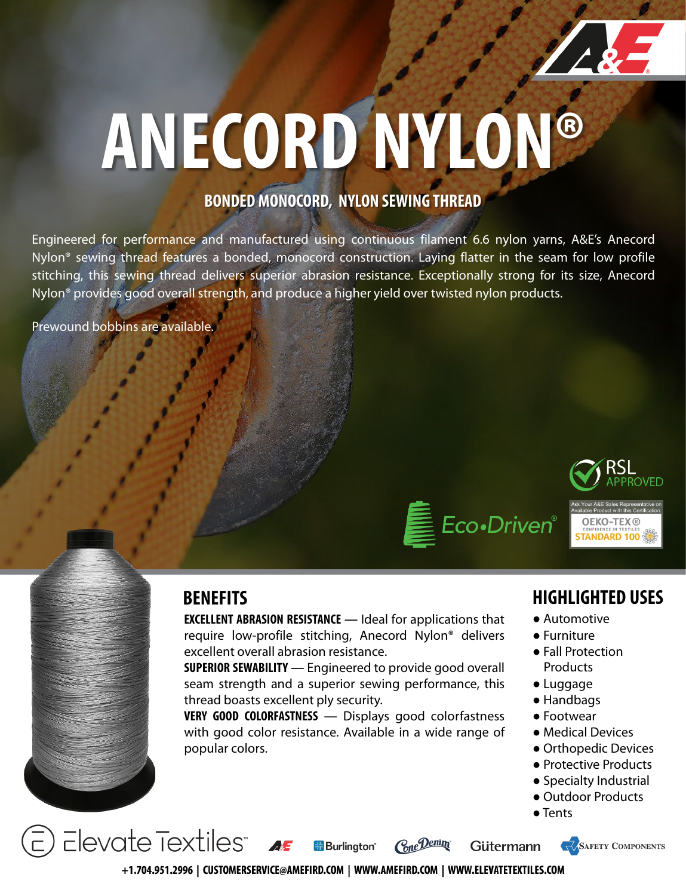

# **ANECORD NYLON®**

### **BONDED MONOCORD, NYLON SEWING THREAD**

Engineered for performance and manufactured using continuous filament 6.6 nylon yarns, A&E's Anecord Nylon® sewing thread features a bonded, monocord construction. Laying flatter in the seam for low profile stitching, this sewing thread delivers superior abrasion resistance. Exceptionally strong for its size, Anecord Nylon® provides good overall strength, and produce a higher yield over twisted nylon products.

Prewound bobbins are available.





**EXCELLENT ABRASION RESISTANCE** ― Ideal for applications that require low-profile stitching, Anecord Nylon® delivers excellent overall abrasion resistance.

**SUPERIOR SEWABILITY** ― Engineered to provide good overall seam strength and a superior sewing performance, this thread boasts excellent ply security.

**VERY GOOD COLORFASTNESS** ― Displays good colorfastness with good color resistance. Available in a wide range of popular colors.

### **BENEFITS HIGHLIGHTED USES**

- Automotive
- Furniture
- Fall Protection Products
- Luggage
- Handbags
- Footwear
- Medical Devices
- Orthopedic Devices
- Protective Products
- Specialty Industrial
- Outdoor Products
- Tents

 $E$ levate Textiles" Cone Denim **H**Burlinaton<sup>®</sup> Gütermann





+1.704.951.2996 | CUSTOMERSERVICE@AMEFIRD.COM | WWW.AMEFIRD.COM | WWW.ELEVATETEXTILES.COM